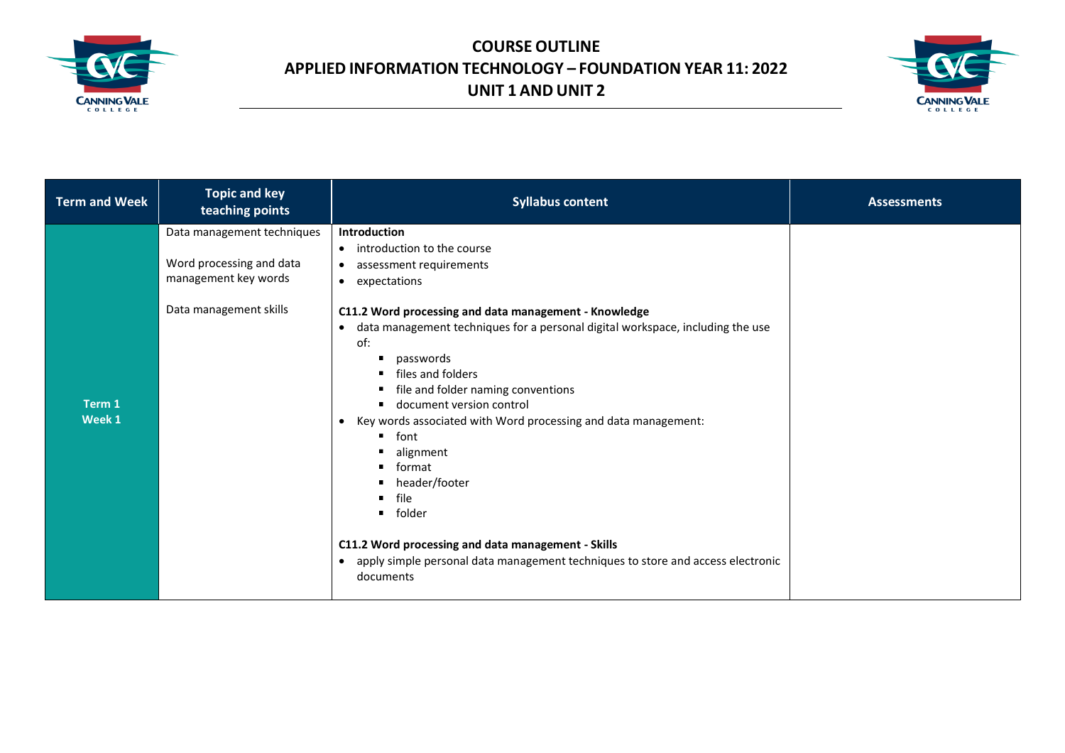



| <b>Syllabus content</b><br>teaching points                                                                                                                                                                                                                                                                                                                                                                                                                                                                                                                                                                                                                                                                                                                                                                                                        | <b>Assessments</b> |
|---------------------------------------------------------------------------------------------------------------------------------------------------------------------------------------------------------------------------------------------------------------------------------------------------------------------------------------------------------------------------------------------------------------------------------------------------------------------------------------------------------------------------------------------------------------------------------------------------------------------------------------------------------------------------------------------------------------------------------------------------------------------------------------------------------------------------------------------------|--------------------|
| Data management techniques<br>Introduction<br>• introduction to the course<br>Word processing and data<br>assessment requirements<br>$\bullet$<br>management key words<br>• expectations<br>Data management skills<br>C11.2 Word processing and data management - Knowledge<br>data management techniques for a personal digital workspace, including the use<br>$\bullet$<br>of:<br>passwords<br>٠<br>files and folders<br>٠<br>file and folder naming conventions<br>Term 1<br>document version control<br>Week 1<br>Key words associated with Word processing and data management:<br>$\bullet$<br>font<br>٠<br>alignment<br>п<br>format<br>header/footer<br>file<br>folder<br>C11.2 Word processing and data management - Skills<br>apply simple personal data management techniques to store and access electronic<br>$\bullet$<br>documents |                    |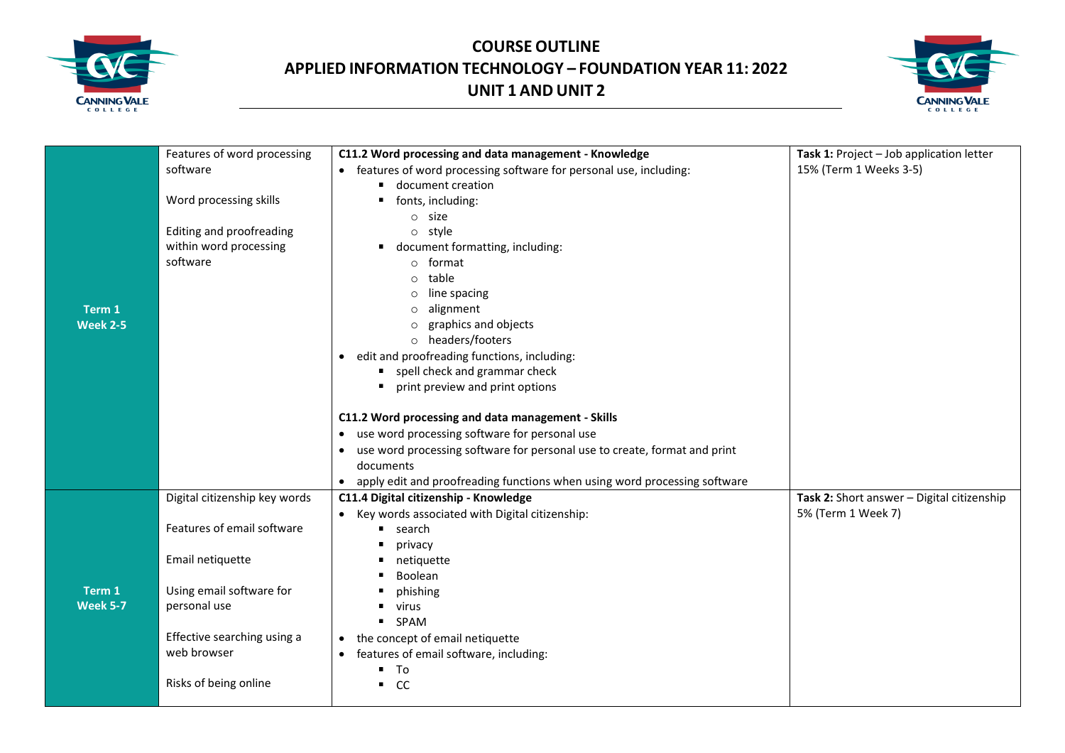



|                 | Features of word processing   | C11.2 Word processing and data management - Knowledge                       | Task 1: Project - Job application letter   |
|-----------------|-------------------------------|-----------------------------------------------------------------------------|--------------------------------------------|
|                 | software                      | • features of word processing software for personal use, including:         | 15% (Term 1 Weeks 3-5)                     |
|                 | Word processing skills        | document creation                                                           |                                            |
|                 |                               | fonts, including:<br>$\circ$ size                                           |                                            |
|                 | Editing and proofreading      | o style                                                                     |                                            |
|                 | within word processing        | document formatting, including:                                             |                                            |
|                 | software                      | ○ format                                                                    |                                            |
|                 |                               | table<br>$\circ$                                                            |                                            |
|                 |                               | line spacing<br>O                                                           |                                            |
| Term 1          |                               | alignment<br>$\circ$                                                        |                                            |
| <b>Week 2-5</b> |                               | $\circ$ graphics and objects                                                |                                            |
|                 |                               | o headers/footers                                                           |                                            |
|                 |                               | • edit and proofreading functions, including:                               |                                            |
|                 |                               | spell check and grammar check                                               |                                            |
|                 |                               | print preview and print options                                             |                                            |
|                 |                               | C11.2 Word processing and data management - Skills                          |                                            |
|                 |                               | • use word processing software for personal use                             |                                            |
|                 |                               | • use word processing software for personal use to create, format and print |                                            |
|                 |                               | documents                                                                   |                                            |
|                 |                               | • apply edit and proofreading functions when using word processing software |                                            |
|                 | Digital citizenship key words | C11.4 Digital citizenship - Knowledge                                       | Task 2: Short answer - Digital citizenship |
|                 |                               | • Key words associated with Digital citizenship:                            | 5% (Term 1 Week 7)                         |
|                 | Features of email software    | search<br>٠                                                                 |                                            |
|                 |                               | ٠<br>privacy                                                                |                                            |
|                 | Email netiquette              | netiquette<br>Boolean                                                       |                                            |
| Term 1          | Using email software for      | phishing                                                                    |                                            |
| <b>Week 5-7</b> | personal use                  | virus                                                                       |                                            |
|                 |                               | SPAM<br>٠                                                                   |                                            |
|                 | Effective searching using a   | the concept of email netiquette<br>$\bullet$                                |                                            |
|                 | web browser                   | features of email software, including:<br>$\bullet$                         |                                            |
|                 |                               | ٠<br>To                                                                     |                                            |
|                 | Risks of being online         | $\blacksquare$<br>cc                                                        |                                            |
|                 |                               |                                                                             |                                            |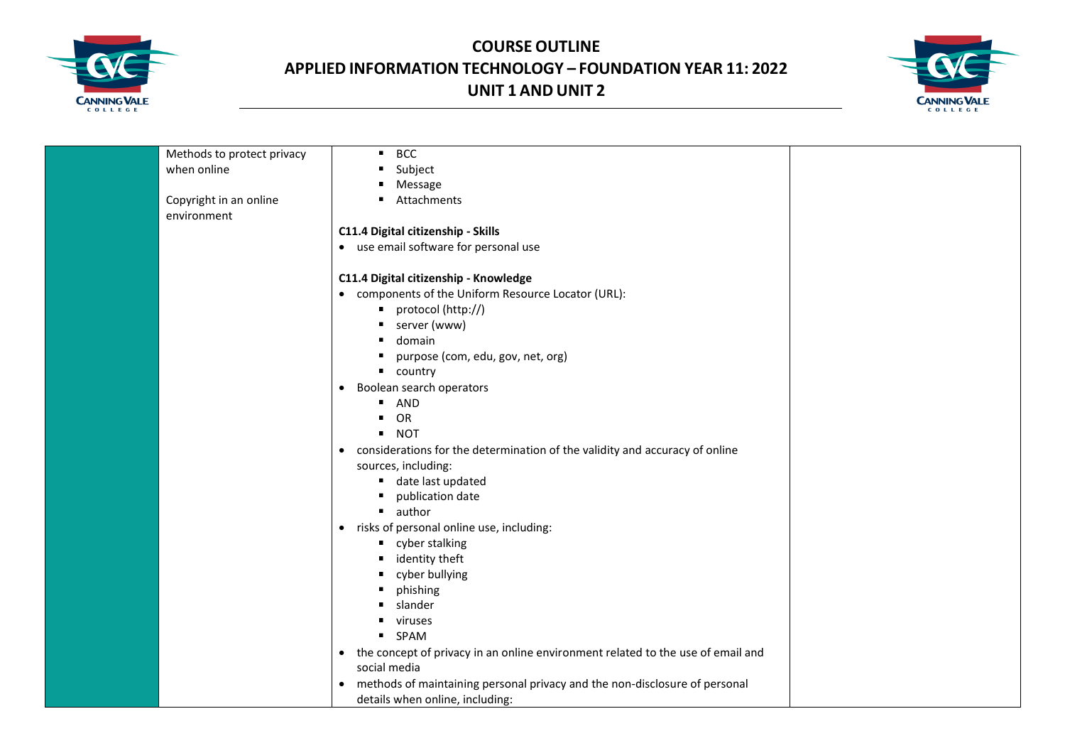



| Methods to protect privacy | <b>BCC</b><br>$\blacksquare$                                                                 |
|----------------------------|----------------------------------------------------------------------------------------------|
| when online                | Subject<br>$\blacksquare$                                                                    |
|                            | ٠<br>Message                                                                                 |
| Copyright in an online     | Attachments                                                                                  |
| environment                |                                                                                              |
|                            | C11.4 Digital citizenship - Skills                                                           |
|                            | • use email software for personal use                                                        |
|                            |                                                                                              |
|                            | C11.4 Digital citizenship - Knowledge                                                        |
|                            | • components of the Uniform Resource Locator (URL):                                          |
|                            | protocol (http://)<br>٠                                                                      |
|                            | server (www)                                                                                 |
|                            | domain                                                                                       |
|                            | purpose (com, edu, gov, net, org)<br>٠                                                       |
|                            | $\blacksquare$ country                                                                       |
|                            |                                                                                              |
|                            | Boolean search operators<br>$\bullet$                                                        |
|                            | AND<br>٠                                                                                     |
|                            | OR                                                                                           |
|                            | <b>NOT</b><br>$\blacksquare$                                                                 |
|                            | considerations for the determination of the validity and accuracy of online<br>$\bullet$     |
|                            | sources, including:                                                                          |
|                            | ■ date last updated                                                                          |
|                            | publication date                                                                             |
|                            | author<br>$\blacksquare$                                                                     |
|                            | • risks of personal online use, including:                                                   |
|                            | " cyber stalking                                                                             |
|                            | identity theft                                                                               |
|                            | cyber bullying                                                                               |
|                            | phishing<br>٠                                                                                |
|                            | slander                                                                                      |
|                            | viruses                                                                                      |
|                            | <b>SPAM</b>                                                                                  |
|                            | the concept of privacy in an online environment related to the use of email and<br>$\bullet$ |
|                            | social media                                                                                 |
|                            | methods of maintaining personal privacy and the non-disclosure of personal<br>$\bullet$      |
|                            | details when online, including:                                                              |
|                            |                                                                                              |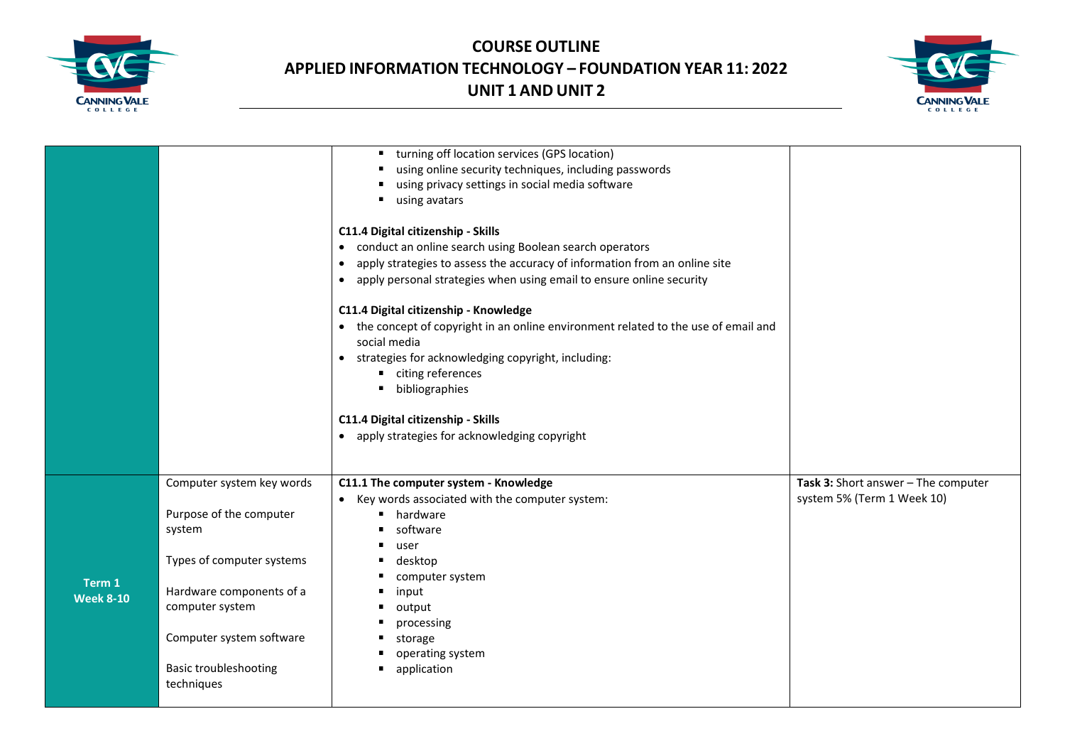



|                  |                                             | turning off location services (GPS location)<br>using online security techniques, including passwords<br>using privacy settings in social media software<br>using avatars<br>٠<br>C11.4 Digital citizenship - Skills<br>• conduct an online search using Boolean search operators<br>apply strategies to assess the accuracy of information from an online site<br>$\bullet$<br>apply personal strategies when using email to ensure online security<br>$\bullet$<br>C11.4 Digital citizenship - Knowledge<br>• the concept of copyright in an online environment related to the use of email and<br>social media<br>• strategies for acknowledging copyright, including: |                                     |
|------------------|---------------------------------------------|---------------------------------------------------------------------------------------------------------------------------------------------------------------------------------------------------------------------------------------------------------------------------------------------------------------------------------------------------------------------------------------------------------------------------------------------------------------------------------------------------------------------------------------------------------------------------------------------------------------------------------------------------------------------------|-------------------------------------|
|                  |                                             | citing references<br>$\blacksquare$                                                                                                                                                                                                                                                                                                                                                                                                                                                                                                                                                                                                                                       |                                     |
|                  |                                             | bibliographies<br>٠                                                                                                                                                                                                                                                                                                                                                                                                                                                                                                                                                                                                                                                       |                                     |
|                  |                                             |                                                                                                                                                                                                                                                                                                                                                                                                                                                                                                                                                                                                                                                                           |                                     |
|                  |                                             | C11.4 Digital citizenship - Skills                                                                                                                                                                                                                                                                                                                                                                                                                                                                                                                                                                                                                                        |                                     |
|                  |                                             | • apply strategies for acknowledging copyright                                                                                                                                                                                                                                                                                                                                                                                                                                                                                                                                                                                                                            |                                     |
|                  |                                             |                                                                                                                                                                                                                                                                                                                                                                                                                                                                                                                                                                                                                                                                           |                                     |
|                  | Computer system key words                   | C11.1 The computer system - Knowledge                                                                                                                                                                                                                                                                                                                                                                                                                                                                                                                                                                                                                                     | Task 3: Short answer - The computer |
|                  |                                             | • Key words associated with the computer system:                                                                                                                                                                                                                                                                                                                                                                                                                                                                                                                                                                                                                          | system 5% (Term 1 Week 10)          |
|                  | Purpose of the computer                     | hardware<br>٠                                                                                                                                                                                                                                                                                                                                                                                                                                                                                                                                                                                                                                                             |                                     |
|                  | system                                      | software                                                                                                                                                                                                                                                                                                                                                                                                                                                                                                                                                                                                                                                                  |                                     |
|                  |                                             | user                                                                                                                                                                                                                                                                                                                                                                                                                                                                                                                                                                                                                                                                      |                                     |
|                  | Types of computer systems                   | desktop<br>٠                                                                                                                                                                                                                                                                                                                                                                                                                                                                                                                                                                                                                                                              |                                     |
| Term 1           |                                             | computer system<br>٠<br>٠                                                                                                                                                                                                                                                                                                                                                                                                                                                                                                                                                                                                                                                 |                                     |
| <b>Week 8-10</b> | Hardware components of a<br>computer system | input<br>٠                                                                                                                                                                                                                                                                                                                                                                                                                                                                                                                                                                                                                                                                |                                     |
|                  |                                             | output<br>$\blacksquare$<br>processing                                                                                                                                                                                                                                                                                                                                                                                                                                                                                                                                                                                                                                    |                                     |
|                  | Computer system software                    | storage                                                                                                                                                                                                                                                                                                                                                                                                                                                                                                                                                                                                                                                                   |                                     |
|                  |                                             | operating system                                                                                                                                                                                                                                                                                                                                                                                                                                                                                                                                                                                                                                                          |                                     |
|                  | <b>Basic troubleshooting</b>                | application                                                                                                                                                                                                                                                                                                                                                                                                                                                                                                                                                                                                                                                               |                                     |
|                  | techniques                                  |                                                                                                                                                                                                                                                                                                                                                                                                                                                                                                                                                                                                                                                                           |                                     |
|                  |                                             |                                                                                                                                                                                                                                                                                                                                                                                                                                                                                                                                                                                                                                                                           |                                     |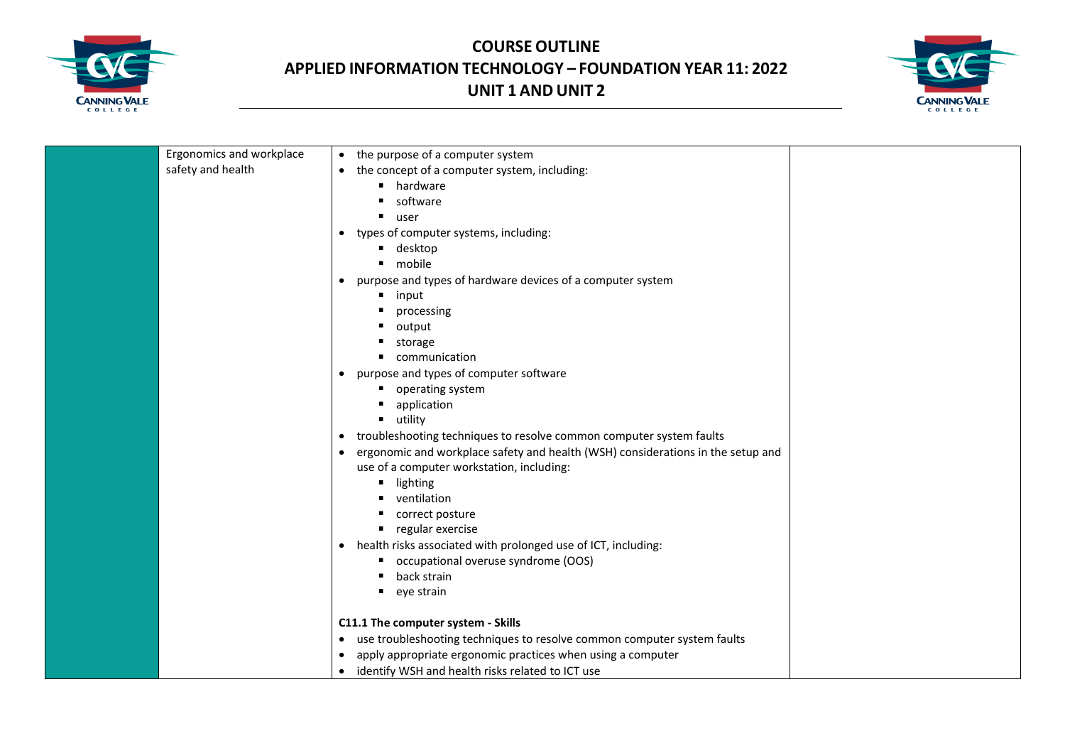



| Ergonomics and workplace | • the purpose of a computer system                                                           |
|--------------------------|----------------------------------------------------------------------------------------------|
| safety and health        | the concept of a computer system, including:<br>$\bullet$                                    |
|                          | hardware                                                                                     |
|                          | software                                                                                     |
|                          | user                                                                                         |
|                          | types of computer systems, including:<br>$\bullet$                                           |
|                          | desktop<br>٠                                                                                 |
|                          | mobile                                                                                       |
|                          | purpose and types of hardware devices of a computer system<br>$\bullet$                      |
|                          | input                                                                                        |
|                          | processing                                                                                   |
|                          | output<br>٠                                                                                  |
|                          | storage<br>٠                                                                                 |
|                          | communication                                                                                |
|                          | purpose and types of computer software<br>$\bullet$                                          |
|                          | operating system                                                                             |
|                          | application<br>٠                                                                             |
|                          | utility<br>٠                                                                                 |
|                          | troubleshooting techniques to resolve common computer system faults<br>$\bullet$             |
|                          | ergonomic and workplace safety and health (WSH) considerations in the setup and<br>$\bullet$ |
|                          | use of a computer workstation, including:                                                    |
|                          | lighting                                                                                     |
|                          | ventilation                                                                                  |
|                          | correct posture                                                                              |
|                          | regular exercise<br>٠                                                                        |
|                          | health risks associated with prolonged use of ICT, including:<br>$\bullet$                   |
|                          | occupational overuse syndrome (OOS)                                                          |
|                          | back strain                                                                                  |
|                          | eye strain                                                                                   |
|                          | C11.1 The computer system - Skills                                                           |
|                          | use troubleshooting techniques to resolve common computer system faults<br>$\bullet$         |
|                          | apply appropriate ergonomic practices when using a computer                                  |
|                          | identify WSH and health risks related to ICT use<br>$\bullet$                                |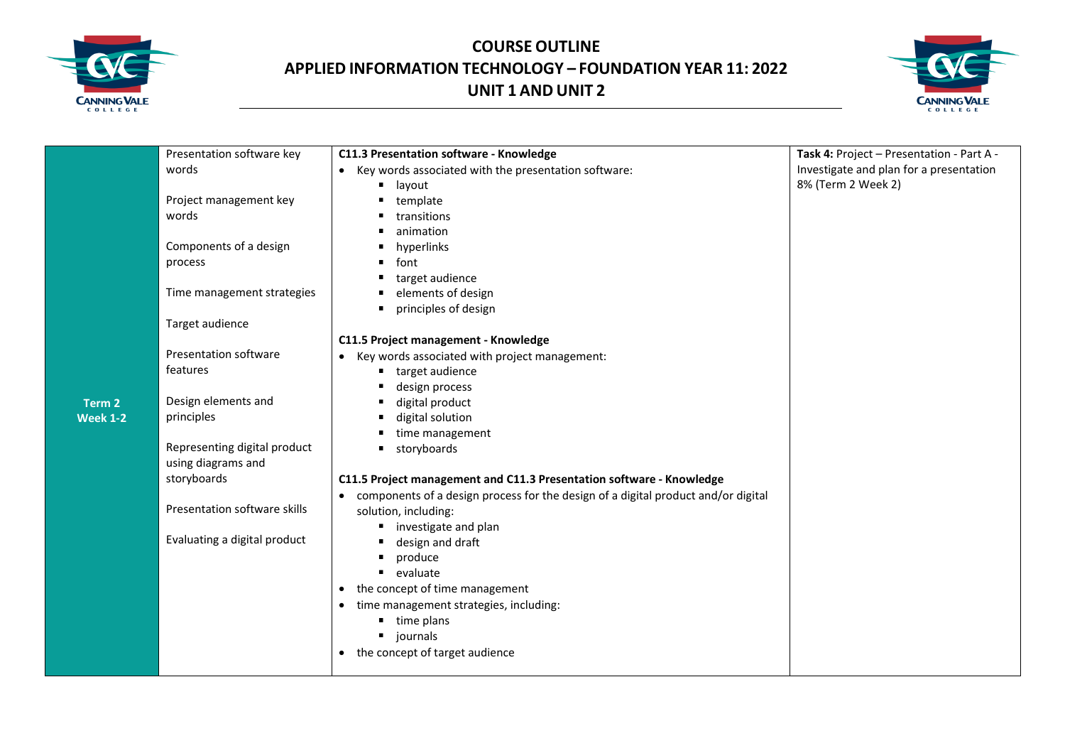



|                 | Presentation software key    | C11.3 Presentation software - Knowledge                                                        | Task 4: Project - Presentation - Part A - |
|-----------------|------------------------------|------------------------------------------------------------------------------------------------|-------------------------------------------|
|                 | words                        | Key words associated with the presentation software:<br>$\bullet$                              | Investigate and plan for a presentation   |
|                 |                              | layout                                                                                         | 8% (Term 2 Week 2)                        |
|                 | Project management key       | template                                                                                       |                                           |
|                 | words                        | transitions                                                                                    |                                           |
|                 |                              | animation                                                                                      |                                           |
|                 | Components of a design       | hyperlinks                                                                                     |                                           |
|                 | process                      | font<br>٠                                                                                      |                                           |
|                 |                              | target audience                                                                                |                                           |
|                 | Time management strategies   | elements of design                                                                             |                                           |
|                 |                              | principles of design<br>٠                                                                      |                                           |
|                 | Target audience              |                                                                                                |                                           |
|                 |                              | C11.5 Project management - Knowledge                                                           |                                           |
|                 | <b>Presentation software</b> | Key words associated with project management:                                                  |                                           |
|                 | features                     | target audience                                                                                |                                           |
|                 |                              | design process                                                                                 |                                           |
| Term 2          | Design elements and          | digital product<br>٠                                                                           |                                           |
| <b>Week 1-2</b> | principles                   | digital solution                                                                               |                                           |
|                 |                              | time management                                                                                |                                           |
|                 | Representing digital product | storyboards<br>٠                                                                               |                                           |
|                 | using diagrams and           |                                                                                                |                                           |
|                 | storyboards                  | C11.5 Project management and C11.3 Presentation software - Knowledge                           |                                           |
|                 |                              | components of a design process for the design of a digital product and/or digital<br>$\bullet$ |                                           |
|                 | Presentation software skills | solution, including:                                                                           |                                           |
|                 | Evaluating a digital product | investigate and plan<br>п                                                                      |                                           |
|                 |                              | design and draft                                                                               |                                           |
|                 |                              | produce<br>٠<br>٠                                                                              |                                           |
|                 |                              | evaluate                                                                                       |                                           |
|                 |                              | the concept of time management<br>$\bullet$                                                    |                                           |
|                 |                              | time management strategies, including:<br>$\bullet$                                            |                                           |
|                 |                              | time plans<br>٠                                                                                |                                           |
|                 |                              | journals                                                                                       |                                           |
|                 |                              | the concept of target audience                                                                 |                                           |
|                 |                              |                                                                                                |                                           |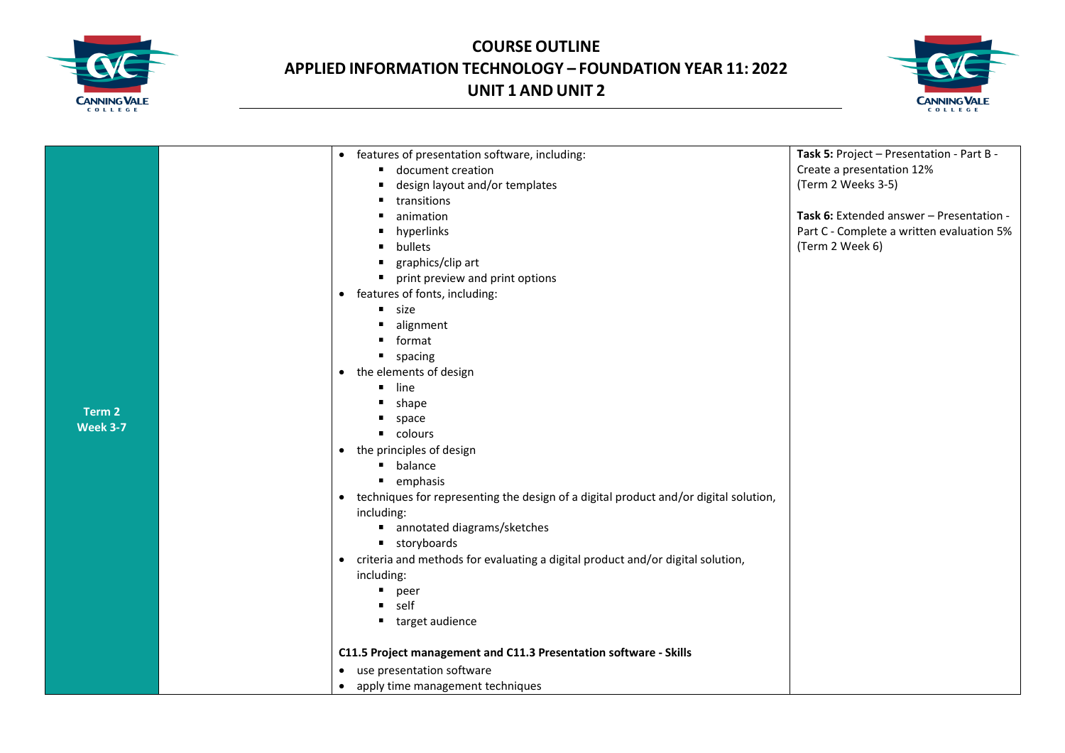



|                 | features of presentation software, including:<br>$\bullet$                                        | Task 5: Project - Presentation - Part B - |
|-----------------|---------------------------------------------------------------------------------------------------|-------------------------------------------|
|                 | document creation                                                                                 | Create a presentation 12%                 |
|                 | design layout and/or templates<br>п.                                                              | (Term 2 Weeks 3-5)                        |
|                 | transitions                                                                                       |                                           |
|                 | animation                                                                                         | Task 6: Extended answer - Presentation -  |
|                 | hyperlinks                                                                                        | Part C - Complete a written evaluation 5% |
|                 | bullets                                                                                           | (Term 2 Week 6)                           |
|                 | graphics/clip art<br>٠                                                                            |                                           |
|                 | print preview and print options<br>$\blacksquare$                                                 |                                           |
|                 | • features of fonts, including:                                                                   |                                           |
|                 | " size                                                                                            |                                           |
|                 | alignment                                                                                         |                                           |
|                 | format                                                                                            |                                           |
|                 | " spacing                                                                                         |                                           |
|                 | the elements of design<br>$\bullet$                                                               |                                           |
|                 | line                                                                                              |                                           |
|                 | ٠<br>shape                                                                                        |                                           |
| Term 2          | space                                                                                             |                                           |
| <b>Week 3-7</b> | • colours                                                                                         |                                           |
|                 | the principles of design<br>$\bullet$                                                             |                                           |
|                 | <b>balance</b>                                                                                    |                                           |
|                 | • emphasis                                                                                        |                                           |
|                 | techniques for representing the design of a digital product and/or digital solution,<br>$\bullet$ |                                           |
|                 | including:                                                                                        |                                           |
|                 | ■ annotated diagrams/sketches                                                                     |                                           |
|                 | " storyboards                                                                                     |                                           |
|                 | criteria and methods for evaluating a digital product and/or digital solution,<br>$\bullet$       |                                           |
|                 | including:                                                                                        |                                           |
|                 | ٠<br>peer                                                                                         |                                           |
|                 | self<br>п.                                                                                        |                                           |
|                 | ■ target audience                                                                                 |                                           |
|                 | C11.5 Project management and C11.3 Presentation software - Skills                                 |                                           |
|                 | • use presentation software                                                                       |                                           |
|                 | • apply time management techniques                                                                |                                           |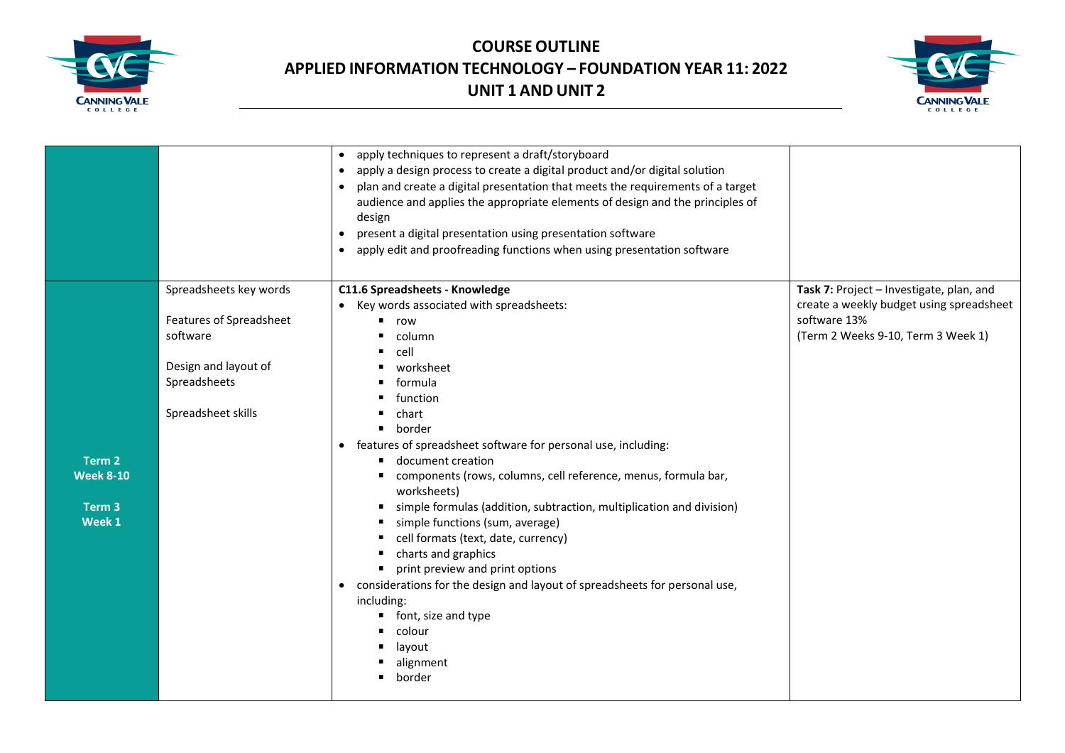



|                   |                         | apply techniques to represent a draft/storyboard<br>$\bullet$                           |                                          |
|-------------------|-------------------------|-----------------------------------------------------------------------------------------|------------------------------------------|
|                   |                         | apply a design process to create a digital product and/or digital solution<br>$\bullet$ |                                          |
|                   |                         | plan and create a digital presentation that meets the requirements of a target          |                                          |
|                   |                         | audience and applies the appropriate elements of design and the principles of           |                                          |
|                   |                         | design                                                                                  |                                          |
|                   |                         | present a digital presentation using presentation software<br>$\bullet$                 |                                          |
|                   |                         | apply edit and proofreading functions when using presentation software<br>$\bullet$     |                                          |
|                   |                         |                                                                                         |                                          |
|                   | Spreadsheets key words  | C11.6 Spreadsheets - Knowledge                                                          | Task 7: Project - Investigate, plan, and |
|                   |                         | Key words associated with spreadsheets:                                                 | create a weekly budget using spreadsheet |
|                   | Features of Spreadsheet | row                                                                                     | software 13%                             |
|                   | software                | column                                                                                  | (Term 2 Weeks 9-10, Term 3 Week 1)       |
|                   |                         | cell                                                                                    |                                          |
|                   | Design and layout of    | worksheet                                                                               |                                          |
|                   | Spreadsheets            | formula                                                                                 |                                          |
|                   |                         | function                                                                                |                                          |
|                   | Spreadsheet skills      | chart                                                                                   |                                          |
|                   |                         | border<br>٠                                                                             |                                          |
|                   |                         | features of spreadsheet software for personal use, including:<br>$\bullet$              |                                          |
| Term 2            |                         | document creation                                                                       |                                          |
| <b>Week 8-10</b>  |                         | components (rows, columns, cell reference, menus, formula bar,                          |                                          |
|                   |                         | worksheets)                                                                             |                                          |
| Term <sub>3</sub> |                         | simple formulas (addition, subtraction, multiplication and division)<br>٠               |                                          |
| Week 1            |                         | simple functions (sum, average)                                                         |                                          |
|                   |                         | cell formats (text, date, currency)                                                     |                                          |
|                   |                         | charts and graphics                                                                     |                                          |
|                   |                         | print preview and print options<br>٠                                                    |                                          |
|                   |                         | considerations for the design and layout of spreadsheets for personal use,<br>$\bullet$ |                                          |
|                   |                         | including:                                                                              |                                          |
|                   |                         | font, size and type<br>п                                                                |                                          |
|                   |                         | colour                                                                                  |                                          |
|                   |                         | layout                                                                                  |                                          |
|                   |                         | alignment                                                                               |                                          |
|                   |                         | border                                                                                  |                                          |
|                   |                         |                                                                                         |                                          |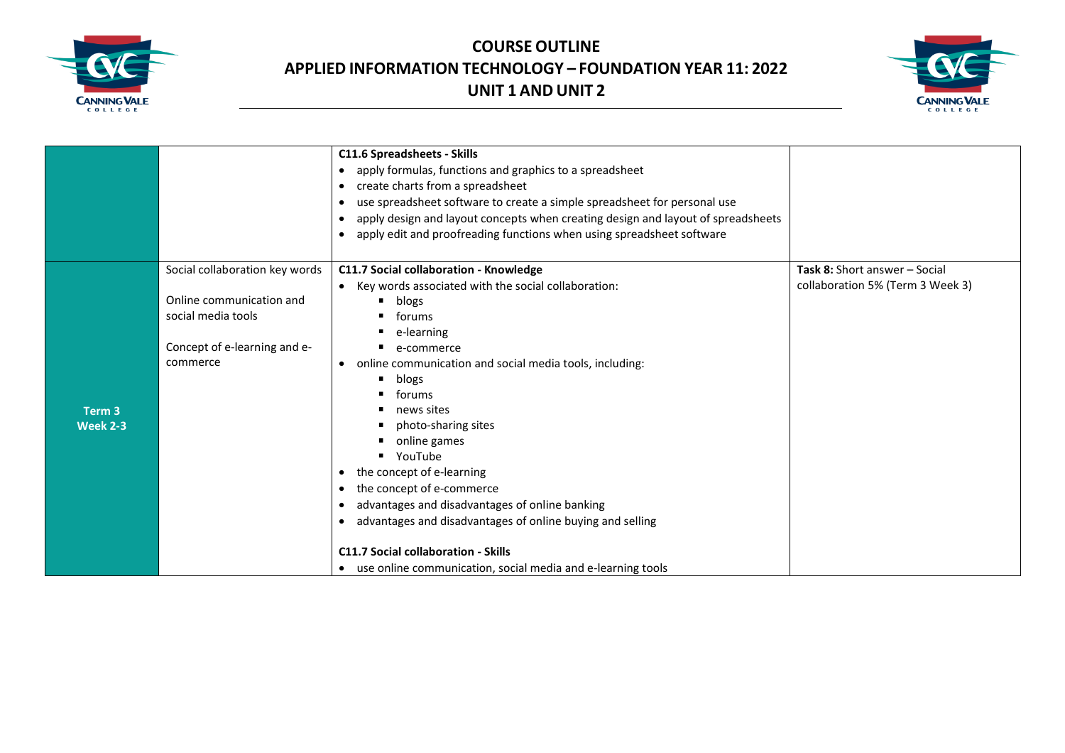



|                                      |                                                                                                                              | <b>C11.6 Spreadsheets - Skills</b><br>apply formulas, functions and graphics to a spreadsheet<br>$\bullet$<br>create charts from a spreadsheet<br>$\bullet$<br>use spreadsheet software to create a simple spreadsheet for personal use<br>apply design and layout concepts when creating design and layout of spreadsheets<br>$\bullet$                                                                                                                                                                                                                                                            |                                                                          |
|--------------------------------------|------------------------------------------------------------------------------------------------------------------------------|-----------------------------------------------------------------------------------------------------------------------------------------------------------------------------------------------------------------------------------------------------------------------------------------------------------------------------------------------------------------------------------------------------------------------------------------------------------------------------------------------------------------------------------------------------------------------------------------------------|--------------------------------------------------------------------------|
|                                      |                                                                                                                              | apply edit and proofreading functions when using spreadsheet software<br>$\bullet$                                                                                                                                                                                                                                                                                                                                                                                                                                                                                                                  |                                                                          |
| Term <sub>3</sub><br><b>Week 2-3</b> | Social collaboration key words<br>Online communication and<br>social media tools<br>Concept of e-learning and e-<br>commerce | C11.7 Social collaboration - Knowledge<br>Key words associated with the social collaboration:<br>$\bullet$<br>blogs<br>forums<br>e-learning<br>٠<br>e-commerce<br>online communication and social media tools, including:<br>$\bullet$<br>п<br>blogs<br>forums<br>news sites<br>photo-sharing sites<br>٠<br>online games<br>YouTube<br>٠<br>the concept of e-learning<br>$\bullet$<br>the concept of e-commerce<br>٠<br>advantages and disadvantages of online banking<br>٠<br>advantages and disadvantages of online buying and selling<br>$\bullet$<br><b>C11.7 Social collaboration - Skills</b> | <b>Task 8: Short answer - Social</b><br>collaboration 5% (Term 3 Week 3) |
|                                      |                                                                                                                              | • use online communication, social media and e-learning tools                                                                                                                                                                                                                                                                                                                                                                                                                                                                                                                                       |                                                                          |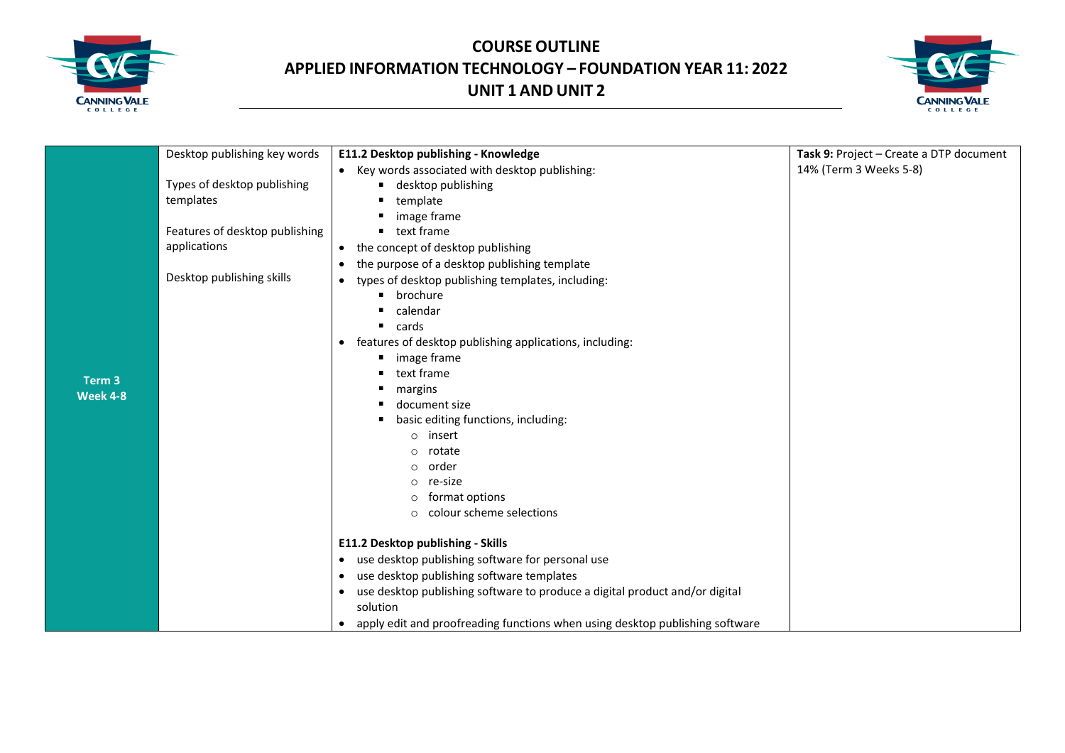



|                           | Desktop publishing key words   | E11.2 Desktop publishing - Knowledge                                                      | Task 9: Project - Create a DTP document |
|---------------------------|--------------------------------|-------------------------------------------------------------------------------------------|-----------------------------------------|
|                           |                                | • Key words associated with desktop publishing:                                           | 14% (Term 3 Weeks 5-8)                  |
|                           | Types of desktop publishing    | desktop publishing<br>п                                                                   |                                         |
|                           | templates                      | template                                                                                  |                                         |
|                           |                                | image frame                                                                               |                                         |
|                           | Features of desktop publishing | text frame<br>$\blacksquare$                                                              |                                         |
|                           | applications                   | the concept of desktop publishing<br>$\bullet$                                            |                                         |
|                           |                                | the purpose of a desktop publishing template<br>$\bullet$                                 |                                         |
|                           | Desktop publishing skills      | types of desktop publishing templates, including:<br>$\bullet$                            |                                         |
|                           |                                | brochure<br>п                                                                             |                                         |
|                           |                                | calendar                                                                                  |                                         |
|                           |                                | cards<br>٠                                                                                |                                         |
|                           |                                | features of desktop publishing applications, including:<br>$\bullet$                      |                                         |
|                           |                                | image frame                                                                               |                                         |
|                           |                                | text frame<br>п                                                                           |                                         |
| Term 3<br><b>Week 4-8</b> |                                | margins                                                                                   |                                         |
|                           |                                | document size                                                                             |                                         |
|                           |                                | basic editing functions, including:<br>п                                                  |                                         |
|                           |                                | $\circ$ insert                                                                            |                                         |
|                           |                                | rotate<br>$\circ$                                                                         |                                         |
|                           |                                | order<br>$\circ$                                                                          |                                         |
|                           |                                | re-size<br>$\circ$                                                                        |                                         |
|                           |                                | format options<br>0                                                                       |                                         |
|                           |                                | colour scheme selections<br>$\circ$                                                       |                                         |
|                           |                                | E11.2 Desktop publishing - Skills                                                         |                                         |
|                           |                                | use desktop publishing software for personal use<br>$\bullet$                             |                                         |
|                           |                                | use desktop publishing software templates<br>$\bullet$                                    |                                         |
|                           |                                | use desktop publishing software to produce a digital product and/or digital<br>$\bullet$  |                                         |
|                           |                                | solution                                                                                  |                                         |
|                           |                                | apply edit and proofreading functions when using desktop publishing software<br>$\bullet$ |                                         |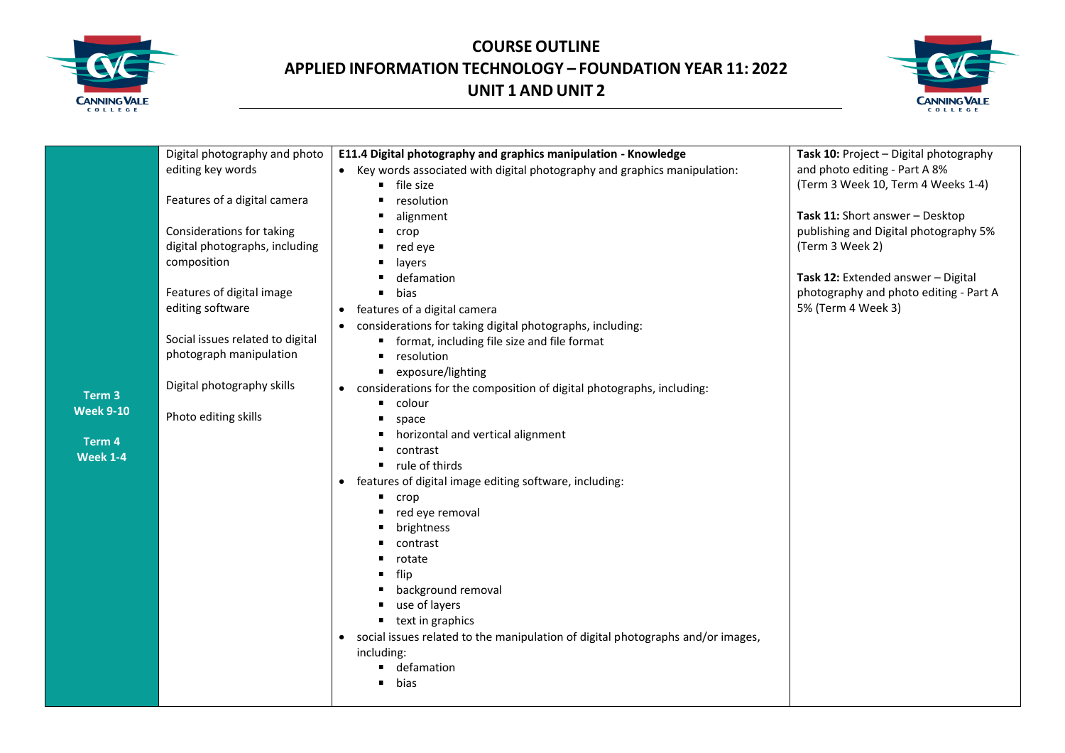



|                   | Digital photography and photo    | E11.4 Digital photography and graphics manipulation - Knowledge                              | Task 10: Project - Digital photography |
|-------------------|----------------------------------|----------------------------------------------------------------------------------------------|----------------------------------------|
|                   | editing key words                | • Key words associated with digital photography and graphics manipulation:                   | and photo editing - Part A 8%          |
|                   |                                  | file size                                                                                    | (Term 3 Week 10, Term 4 Weeks 1-4)     |
|                   | Features of a digital camera     | resolution                                                                                   |                                        |
|                   |                                  | alignment                                                                                    | Task 11: Short answer - Desktop        |
|                   | Considerations for taking        | crop                                                                                         | publishing and Digital photography 5%  |
|                   | digital photographs, including   | red eye                                                                                      | (Term 3 Week 2)                        |
|                   | composition                      | layers                                                                                       |                                        |
|                   |                                  | defamation                                                                                   | Task 12: Extended answer - Digital     |
|                   | Features of digital image        | bias<br>$\blacksquare$                                                                       | photography and photo editing - Part A |
|                   | editing software                 | features of a digital camera                                                                 | 5% (Term 4 Week 3)                     |
|                   |                                  | considerations for taking digital photographs, including:                                    |                                        |
|                   | Social issues related to digital | format, including file size and file format                                                  |                                        |
|                   | photograph manipulation          | resolution<br>$\blacksquare$                                                                 |                                        |
|                   |                                  | exposure/lighting<br>٠                                                                       |                                        |
|                   | Digital photography skills       | considerations for the composition of digital photographs, including:<br>$\bullet$           |                                        |
| Term <sub>3</sub> |                                  | colour<br>٠                                                                                  |                                        |
| <b>Week 9-10</b>  | Photo editing skills             | space                                                                                        |                                        |
|                   |                                  | horizontal and vertical alignment                                                            |                                        |
| Term 4            |                                  | contrast                                                                                     |                                        |
| <b>Week 1-4</b>   |                                  | rule of thirds<br>٠                                                                          |                                        |
|                   |                                  | features of digital image editing software, including:<br>$\bullet$                          |                                        |
|                   |                                  | crop                                                                                         |                                        |
|                   |                                  | red eye removal<br>٠                                                                         |                                        |
|                   |                                  | brightness                                                                                   |                                        |
|                   |                                  | contrast                                                                                     |                                        |
|                   |                                  | rotate                                                                                       |                                        |
|                   |                                  | flip                                                                                         |                                        |
|                   |                                  | background removal                                                                           |                                        |
|                   |                                  | use of layers                                                                                |                                        |
|                   |                                  | text in graphics<br>٠                                                                        |                                        |
|                   |                                  | social issues related to the manipulation of digital photographs and/or images,<br>$\bullet$ |                                        |
|                   |                                  | including:                                                                                   |                                        |
|                   |                                  | defamation                                                                                   |                                        |
|                   |                                  | bias                                                                                         |                                        |
|                   |                                  |                                                                                              |                                        |